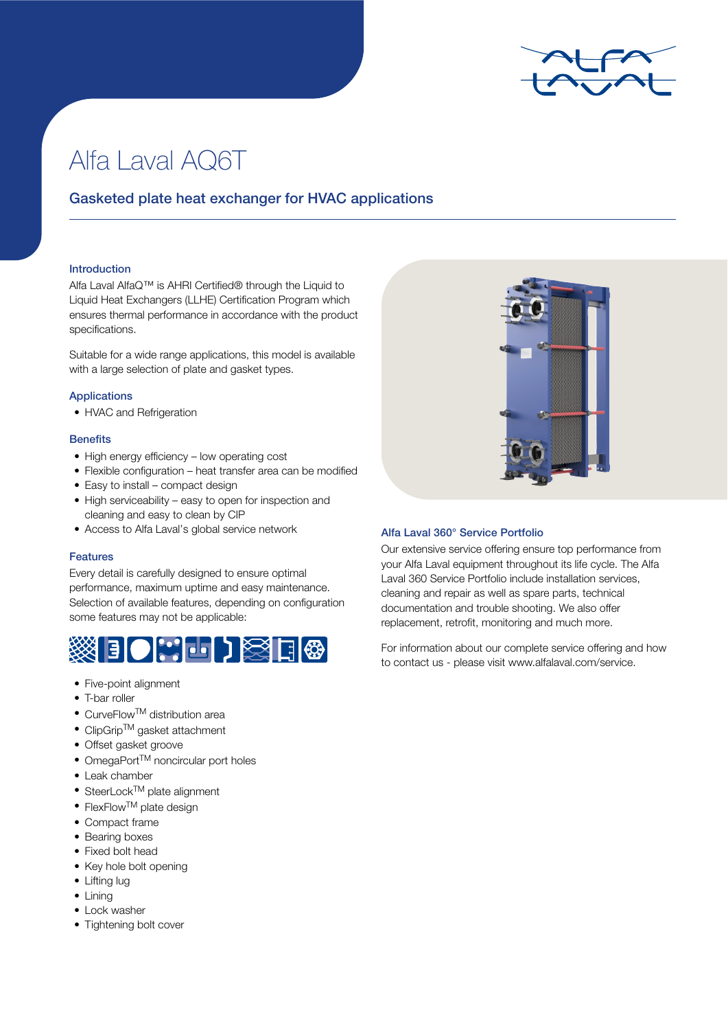

# Alfa Laval AQ6T

# Gasketed plate heat exchanger for HVAC applications

## Introduction

Alfa Laval AlfaQ™ is AHRI Certified® through the Liquid to Liquid Heat Exchangers (LLHE) Certification Program which ensures thermal performance in accordance with the product specifications.

Suitable for a wide range applications, this model is available with a large selection of plate and gasket types.

## Applications

• HVAC and Refrigeration

## **Benefits**

- High energy efficiency low operating cost
- Flexible configuration heat transfer area can be modified
- Easy to install compact design
- High serviceability easy to open for inspection and cleaning and easy to clean by CIP
- Access to Alfa Laval's global service network

# Features

Every detail is carefully designed to ensure optimal performance, maximum uptime and easy maintenance. Selection of available features, depending on configuration some features may not be applicable:



- Five-point alignment
- T-bar roller
- CurveFlow<sup>TM</sup> distribution area
- ClipGripTM gasket attachment
- Offset gasket groove
- OmegaPort<sup>TM</sup> noncircular port holes
- Leak chamber
- SteerLock<sup>TM</sup> plate alignment
- FlexFlow<sup>TM</sup> plate design
- Compact frame
- Bearing boxes
- Fixed bolt head
- Key hole bolt opening
- Lifting lug
- Lining
- Lock washer
- Tightening bolt cover



## Alfa Laval 360° Service Portfolio

Our extensive service offering ensure top performance from your Alfa Laval equipment throughout its life cycle. The Alfa Laval 360 Service Portfolio include installation services, cleaning and repair as well as spare parts, technical documentation and trouble shooting. We also offer replacement, retrofit, monitoring and much more.

For information about our complete service offering and how to contact us - please visit www.alfalaval.com/service.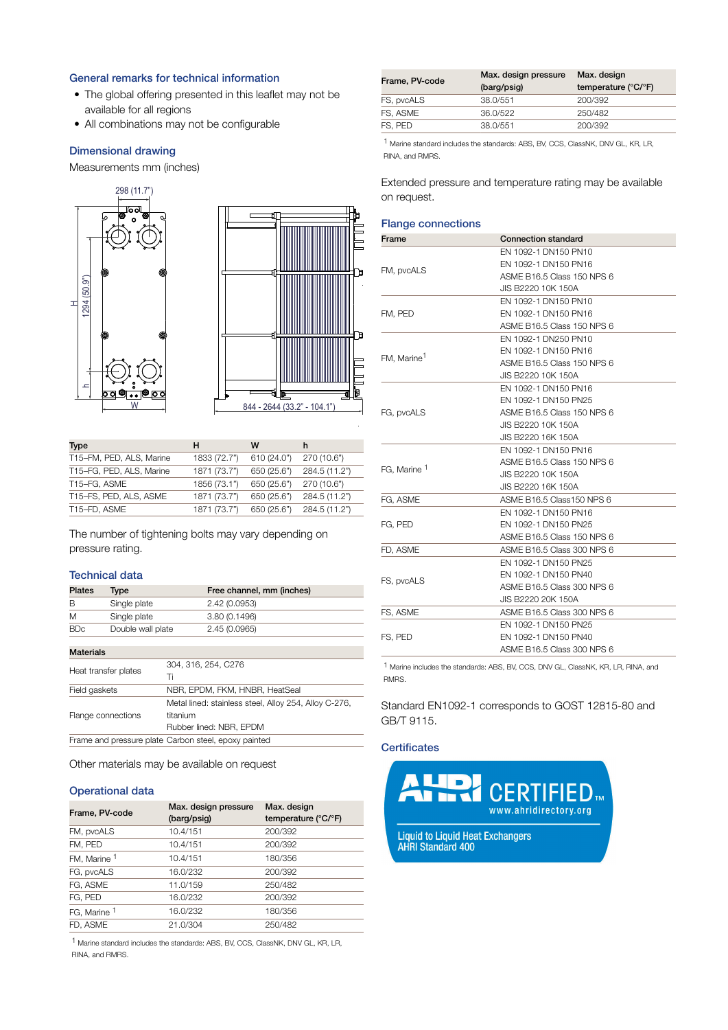# General remarks for technical information

- The global offering presented in this leaflet may not be available for all regions
- All combinations may not be configurable

#### Dimensional drawing

Measurements mm (inches)





| Type                     |              | w           |               |
|--------------------------|--------------|-------------|---------------|
| T15-FM, PED, ALS, Marine | 1833 (72.7") | 610 (24.0") | 270 (10.6")   |
| T15-FG, PED, ALS, Marine | 1871 (73.7") | 650 (25.6") | 284.5 (11.2") |
| T15-FG, ASME             | 1856 (73.1") | 650 (25.6") | 270 (10.6")   |
| T15-FS, PED, ALS, ASME   | 1871 (73.7") | 650 (25.6") | 284.5 (11.2") |
| T15-FD, ASME             | 1871 (73.7") | 650 (25.6") | 284.5 (11.2") |

The number of tightening bolts may vary depending on pressure rating.

# Technical data

| Plates     | Tvpe              | Free channel, mm (inches) |
|------------|-------------------|---------------------------|
| B          | Single plate      | 2.42 (0.0953)             |
| M          | Single plate      | 3.80 (0.1496)             |
| <b>BDc</b> | Double wall plate | 2.45 (0.0965)             |

#### Materials

| Heat transfer plates | 304, 316, 254, C276                                   |
|----------------------|-------------------------------------------------------|
|                      | Ti                                                    |
| Field gaskets        | NBR, EPDM, FKM, HNBR, HeatSeal                        |
|                      | Metal lined: stainless steel, Alloy 254, Alloy C-276, |
| Flange connections   | titanium                                              |
|                      | Rubber lined: NBR, EPDM                               |
|                      | Frame and pressure plate Carbon steel, epoxy painted  |

Other materials may be available on request

# Operational data

| Frame, PV-code          | Max. design pressure | Max. design                             |
|-------------------------|----------------------|-----------------------------------------|
|                         | (barg/psig)          | temperature ( $\degree$ C/ $\degree$ F) |
| FM, pvcALS              | 10.4/151             | 200/392                                 |
| FM, PED                 | 10.4/151             | 200/392                                 |
| FM, Marine 1            | 10.4/151             | 180/356                                 |
| FG, pvcALS              | 16.0/232             | 200/392                                 |
| FG, ASME                | 11.0/159             | 250/482                                 |
| FG, PED                 | 16.0/232             | 200/392                                 |
| FG, Marine <sup>1</sup> | 16.0/232             | 180/356                                 |
| FD. ASME                | 21.0/304             | 250/482                                 |

1 Marine standard includes the standards: ABS, BV, CCS, ClassNK, DNV GL, KR, LR, RINA, and RMRS.

| Frame, PV-code | Max. design pressure<br>(barg/psig) | Max. design<br>temperature (°C/°F) |
|----------------|-------------------------------------|------------------------------------|
| FS, pvcALS     | 38.0/551                            | 200/392                            |
| FS. ASME       | 36.0/522                            | 250/482                            |
| FS. PED        | 38.0/551                            | 200/392                            |

1 Marine standard includes the standards: ABS, BV, CCS, ClassNK, DNV GL, KR, LR, RINA, and RMRS.

Extended pressure and temperature rating may be available on request.

# Flange connections

| Frame                   | <b>Connection standard</b> |
|-------------------------|----------------------------|
| FM, pvcALS              | EN 1092-1 DN150 PN10       |
|                         | EN 1092-1 DN150 PN16       |
|                         | ASME B16.5 Class 150 NPS 6 |
|                         | JIS B2220 10K 150A         |
| FM, PED                 | EN 1092-1 DN150 PN10       |
|                         | EN 1092-1 DN150 PN16       |
|                         | ASME B16.5 Class 150 NPS 6 |
|                         | EN 1092-1 DN250 PN10       |
|                         | EN 1092-1 DN150 PN16       |
| FM. Marine <sup>1</sup> | ASME B16.5 Class 150 NPS 6 |
|                         | JIS B2220 10K 150A         |
|                         | EN 1092-1 DN150 PN16       |
|                         | EN 1092-1 DN150 PN25       |
| FG, pvcALS              | ASME B16.5 Class 150 NPS 6 |
|                         | JIS B2220 10K 150A         |
|                         | JIS B2220 16K 150A         |
|                         | EN 1092-1 DN150 PN16       |
| FG. Marine 1            | ASME B16.5 Class 150 NPS 6 |
|                         | JIS B2220 10K 150A         |
|                         | JIS B2220 16K 150A         |
| FG, ASME                | ASME B16.5 Class150 NPS 6  |
|                         | EN 1092-1 DN150 PN16       |
| FG, PED                 | EN 1092-1 DN150 PN25       |
|                         | ASME B16.5 Class 150 NPS 6 |
| FD, ASME                | ASME B16.5 Class 300 NPS 6 |
|                         | EN 1092-1 DN150 PN25       |
| FS, pvcALS              | EN 1092-1 DN150 PN40       |
|                         | ASME B16.5 Class 300 NPS 6 |
|                         | JIS B2220 20K 150A         |
| FS, ASME                | ASME B16.5 Class 300 NPS 6 |
|                         | EN 1092-1 DN150 PN25       |
| FS, PED                 | EN 1092-1 DN150 PN40       |
|                         | ASME B16.5 Class 300 NPS 6 |

1 Marine includes the standards: ABS, BV, CCS, DNV GL, ClassNK, KR, LR, RINA, and RMRS.

Standard EN1092-1 corresponds to GOST 12815-80 and GB/T 9115.

#### **Certificates**